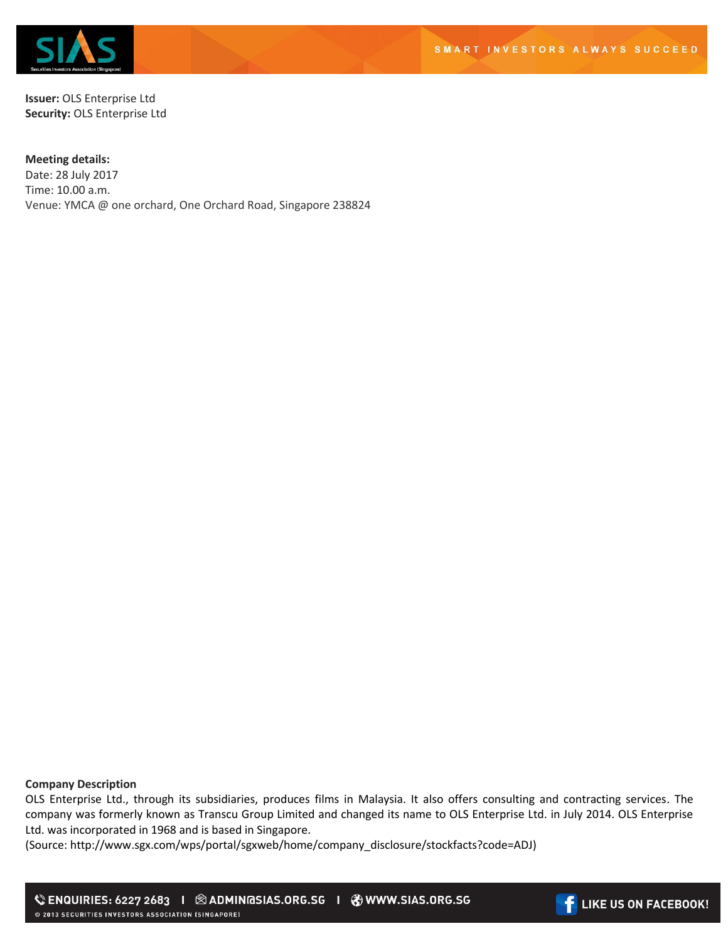

**Issuer:** OLS Enterprise Ltd **Security:** OLS Enterprise Ltd

## **Meeting details:**

Date: 28 July 2017 Time: 10.00 a.m. Venue: YMCA @ one orchard, One Orchard Road, Singapore 238824

**Company Description**

OLS Enterprise Ltd., through its subsidiaries, produces films in Malaysia. It also offers consulting and contracting services. The company was formerly known as Transcu Group Limited and changed its name to OLS Enterprise Ltd. in July 2014. OLS Enterprise Ltd. was incorporated in 1968 and is based in Singapore.

(Source: http://www.sgx.com/wps/portal/sgxweb/home/company\_disclosure/stockfacts?code=ADJ)

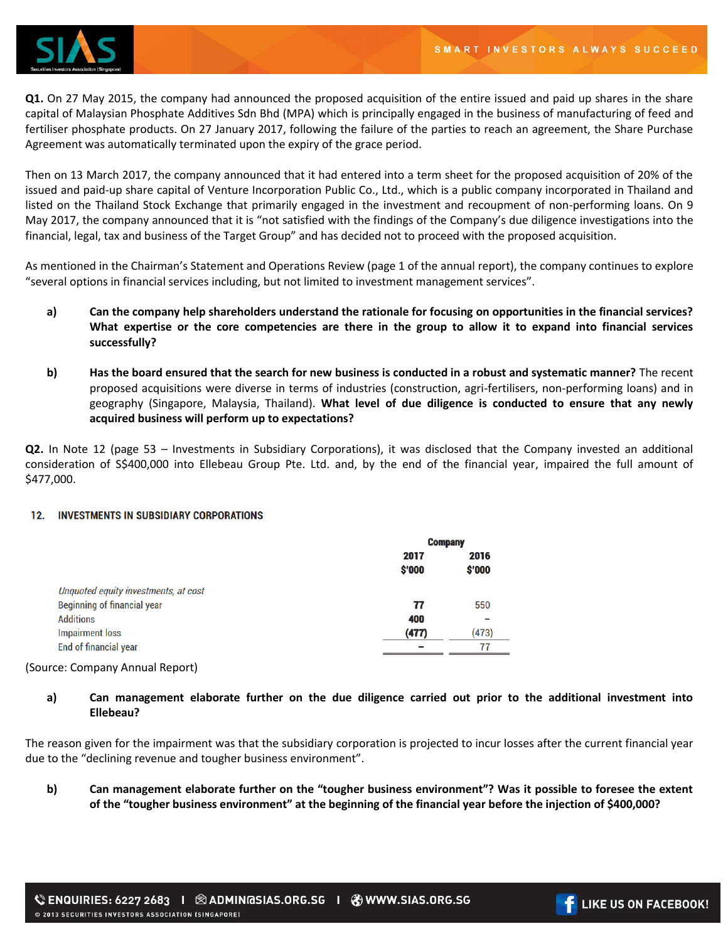

**Q1.** On 27 May 2015, the company had announced the proposed acquisition of the entire issued and paid up shares in the share capital of Malaysian Phosphate Additives Sdn Bhd (MPA) which is principally engaged in the business of manufacturing of feed and fertiliser phosphate products. On 27 January 2017, following the failure of the parties to reach an agreement, the Share Purchase Agreement was automatically terminated upon the expiry of the grace period.

Then on 13 March 2017, the company announced that it had entered into a term sheet for the proposed acquisition of 20% of the issued and paid-up share capital of Venture Incorporation Public Co., Ltd., which is a public company incorporated in Thailand and listed on the Thailand Stock Exchange that primarily engaged in the investment and recoupment of non-performing loans. On 9 May 2017, the company announced that it is "not satisfied with the findings of the Company's due diligence investigations into the financial, legal, tax and business of the Target Group" and has decided not to proceed with the proposed acquisition.

As mentioned in the Chairman's Statement and Operations Review (page 1 of the annual report), the company continues to explore "several options in financial services including, but not limited to investment management services".

- **a) Can the company help shareholders understand the rationale for focusing on opportunities in the financial services? What expertise or the core competencies are there in the group to allow it to expand into financial services successfully?**
- **b) Has the board ensured that the search for new business is conducted in a robust and systematic manner?** The recent proposed acquisitions were diverse in terms of industries (construction, agri-fertilisers, non-performing loans) and in geography (Singapore, Malaysia, Thailand). **What level of due diligence is conducted to ensure that any newly acquired business will perform up to expectations?**

**Q2.** In Note 12 (page 53 – Investments in Subsidiary Corporations), it was disclosed that the Company invested an additional consideration of S\$400,000 into Ellebeau Group Pte. Ltd. and, by the end of the financial year, impaired the full amount of \$477,000.

## 12. INVESTMENTS IN SUBSIDIARY CORPORATIONS

|                                      | <b>Company</b> |                |  |
|--------------------------------------|----------------|----------------|--|
|                                      | 2017<br>\$'000 | 2016<br>\$'000 |  |
| Unquoted equity investments, at cost |                |                |  |
| <b>Beginning of financial year</b>   | 77             | 550            |  |
| <b>Additions</b>                     | 400            |                |  |
| <b>Impairment loss</b>               | (477)          | (473)          |  |
| <b>End of financial year</b>         | -              | 77             |  |
|                                      |                |                |  |

## (Source: Company Annual Report)

**a) Can management elaborate further on the due diligence carried out prior to the additional investment into Ellebeau?** 

The reason given for the impairment was that the subsidiary corporation is projected to incur losses after the current financial year due to the "declining revenue and tougher business environment".

**b) Can management elaborate further on the "tougher business environment"? Was it possible to foresee the extent of the "tougher business environment" at the beginning of the financial year before the injection of \$400,000?**